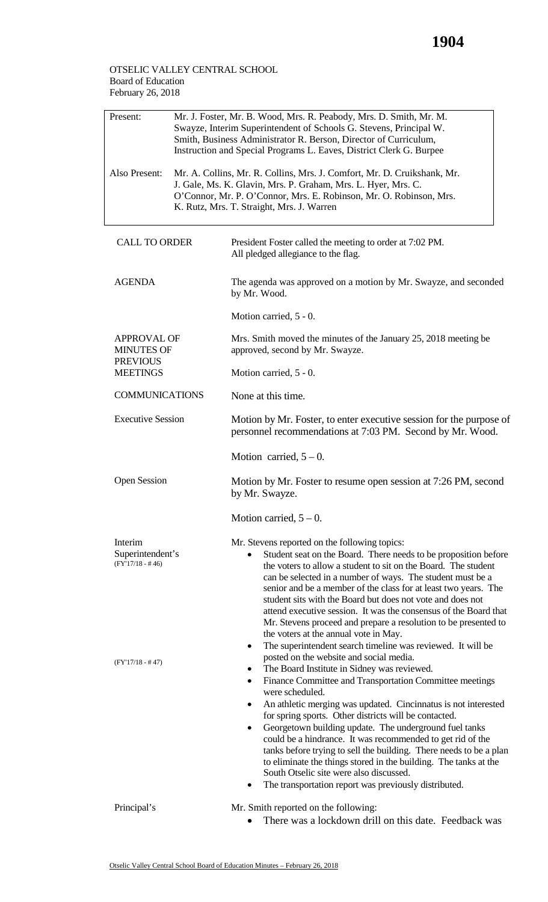## OTSELIC VALLEY CENTRAL SCHOOL Board of Education February 26, 2018

| Present:                                                                      |  | Mr. J. Foster, Mr. B. Wood, Mrs. R. Peabody, Mrs. D. Smith, Mr. M.<br>Swayze, Interim Superintendent of Schools G. Stevens, Principal W.<br>Smith, Business Administrator R. Berson, Director of Curriculum,<br>Instruction and Special Programs L. Eaves, District Clerk G. Burpee                                                                                                                                                                                                                                                                                                                                                                                                                                                                         |
|-------------------------------------------------------------------------------|--|-------------------------------------------------------------------------------------------------------------------------------------------------------------------------------------------------------------------------------------------------------------------------------------------------------------------------------------------------------------------------------------------------------------------------------------------------------------------------------------------------------------------------------------------------------------------------------------------------------------------------------------------------------------------------------------------------------------------------------------------------------------|
| Also Present:                                                                 |  | Mr. A. Collins, Mr. R. Collins, Mrs. J. Comfort, Mr. D. Cruikshank, Mr.<br>J. Gale, Ms. K. Glavin, Mrs. P. Graham, Mrs. L. Hyer, Mrs. C.<br>O'Connor, Mr. P. O'Connor, Mrs. E. Robinson, Mr. O. Robinson, Mrs.<br>K. Rutz, Mrs. T. Straight, Mrs. J. Warren                                                                                                                                                                                                                                                                                                                                                                                                                                                                                                 |
| <b>CALL TO ORDER</b>                                                          |  | President Foster called the meeting to order at 7:02 PM.<br>All pledged allegiance to the flag.                                                                                                                                                                                                                                                                                                                                                                                                                                                                                                                                                                                                                                                             |
| <b>AGENDA</b>                                                                 |  | The agenda was approved on a motion by Mr. Swayze, and seconded<br>by Mr. Wood.                                                                                                                                                                                                                                                                                                                                                                                                                                                                                                                                                                                                                                                                             |
|                                                                               |  | Motion carried, 5 - 0.                                                                                                                                                                                                                                                                                                                                                                                                                                                                                                                                                                                                                                                                                                                                      |
| <b>APPROVAL OF</b><br><b>MINUTES OF</b><br><b>PREVIOUS</b><br><b>MEETINGS</b> |  | Mrs. Smith moved the minutes of the January 25, 2018 meeting be<br>approved, second by Mr. Swayze.                                                                                                                                                                                                                                                                                                                                                                                                                                                                                                                                                                                                                                                          |
|                                                                               |  | Motion carried, 5 - 0.                                                                                                                                                                                                                                                                                                                                                                                                                                                                                                                                                                                                                                                                                                                                      |
| <b>COMMUNICATIONS</b>                                                         |  | None at this time.                                                                                                                                                                                                                                                                                                                                                                                                                                                                                                                                                                                                                                                                                                                                          |
| <b>Executive Session</b>                                                      |  | Motion by Mr. Foster, to enter executive session for the purpose of<br>personnel recommendations at 7:03 PM. Second by Mr. Wood.                                                                                                                                                                                                                                                                                                                                                                                                                                                                                                                                                                                                                            |
|                                                                               |  | Motion carried, $5 - 0$ .                                                                                                                                                                                                                                                                                                                                                                                                                                                                                                                                                                                                                                                                                                                                   |
| <b>Open Session</b>                                                           |  | Motion by Mr. Foster to resume open session at 7:26 PM, second<br>by Mr. Swayze.                                                                                                                                                                                                                                                                                                                                                                                                                                                                                                                                                                                                                                                                            |
|                                                                               |  | Motion carried, $5 - 0$ .                                                                                                                                                                                                                                                                                                                                                                                                                                                                                                                                                                                                                                                                                                                                   |
| Interim<br>Superintendent's<br>$(FY'17/18 - #46)$                             |  | Mr. Stevens reported on the following topics:<br>Student seat on the Board. There needs to be proposition before<br>the voters to allow a student to sit on the Board. The student<br>can be selected in a number of ways. The student must be a<br>senior and be a member of the class for at least two years. The<br>student sits with the Board but does not vote and does not<br>attend executive session. It was the consensus of the Board that<br>Mr. Stevens proceed and prepare a resolution to be presented to<br>the voters at the annual vote in May.                                                                                                                                                                                           |
| $(FY'17/18 - #47)$                                                            |  | The superintendent search timeline was reviewed. It will be<br>posted on the website and social media.<br>The Board Institute in Sidney was reviewed.<br>٠<br>Finance Committee and Transportation Committee meetings<br>$\bullet$<br>were scheduled.<br>An athletic merging was updated. Cincinnatus is not interested<br>for spring sports. Other districts will be contacted.<br>Georgetown building update. The underground fuel tanks<br>٠<br>could be a hindrance. It was recommended to get rid of the<br>tanks before trying to sell the building. There needs to be a plan<br>to eliminate the things stored in the building. The tanks at the<br>South Otselic site were also discussed.<br>The transportation report was previously distributed. |
| Principal's                                                                   |  | Mr. Smith reported on the following:<br>There was a lockdown drill on this date. Feedback was                                                                                                                                                                                                                                                                                                                                                                                                                                                                                                                                                                                                                                                               |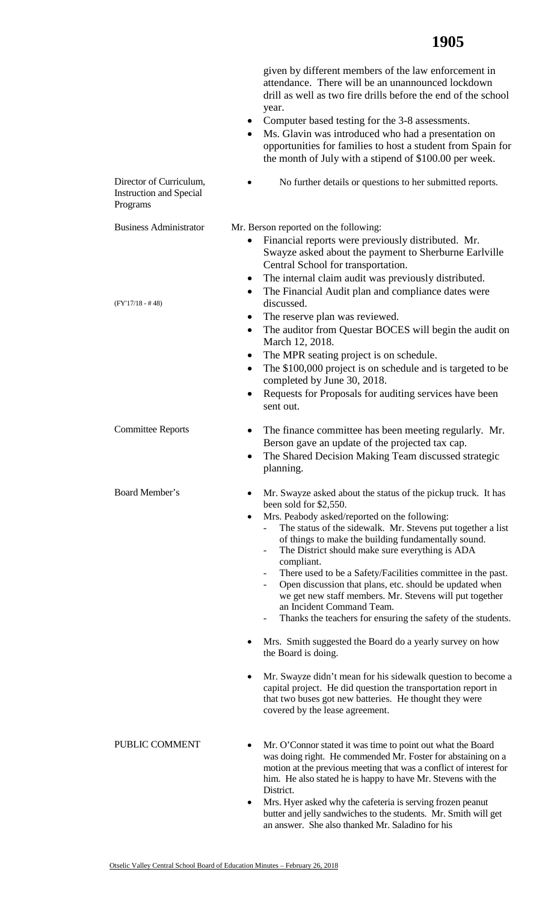|                                                                       | given by different members of the law enforcement in<br>attendance. There will be an unannounced lockdown<br>drill as well as two fire drills before the end of the school<br>year.<br>Computer based testing for the 3-8 assessments.<br>$\bullet$<br>Ms. Glavin was introduced who had a presentation on<br>opportunities for families to host a student from Spain for<br>the month of July with a stipend of \$100.00 per week.                                                                                                                                                                                                                                                                                                                                                                                                                                                 |
|-----------------------------------------------------------------------|-------------------------------------------------------------------------------------------------------------------------------------------------------------------------------------------------------------------------------------------------------------------------------------------------------------------------------------------------------------------------------------------------------------------------------------------------------------------------------------------------------------------------------------------------------------------------------------------------------------------------------------------------------------------------------------------------------------------------------------------------------------------------------------------------------------------------------------------------------------------------------------|
| Director of Curriculum,<br><b>Instruction and Special</b><br>Programs | No further details or questions to her submitted reports.                                                                                                                                                                                                                                                                                                                                                                                                                                                                                                                                                                                                                                                                                                                                                                                                                           |
| <b>Business Administrator</b>                                         | Mr. Berson reported on the following:<br>Financial reports were previously distributed. Mr.<br>Swayze asked about the payment to Sherburne Earlville<br>Central School for transportation.<br>The internal claim audit was previously distributed.<br>$\bullet$                                                                                                                                                                                                                                                                                                                                                                                                                                                                                                                                                                                                                     |
| $(FY'17/18 - #48)$                                                    | The Financial Audit plan and compliance dates were<br>٠<br>discussed.<br>The reserve plan was reviewed.<br>٠<br>The auditor from Questar BOCES will begin the audit on<br>٠<br>March 12, 2018.<br>The MPR seating project is on schedule.<br>٠<br>The \$100,000 project is on schedule and is targeted to be<br>٠<br>completed by June 30, 2018.<br>Requests for Proposals for auditing services have been<br>$\bullet$<br>sent out.                                                                                                                                                                                                                                                                                                                                                                                                                                                |
| <b>Committee Reports</b>                                              | The finance committee has been meeting regularly. Mr.<br>٠<br>Berson gave an update of the projected tax cap.<br>The Shared Decision Making Team discussed strategic<br>planning.                                                                                                                                                                                                                                                                                                                                                                                                                                                                                                                                                                                                                                                                                                   |
| Board Member's                                                        | Mr. Swayze asked about the status of the pickup truck. It has<br>been sold for \$2,550.<br>Mrs. Peabody asked/reported on the following:<br>$\bullet$<br>The status of the sidewalk. Mr. Stevens put together a list<br>of things to make the building fundamentally sound.<br>The District should make sure everything is ADA<br>$\overline{\phantom{0}}$<br>compliant.<br>There used to be a Safety/Facilities committee in the past.<br>Open discussion that plans, etc. should be updated when<br>we get new staff members. Mr. Stevens will put together<br>an Incident Command Team.<br>Thanks the teachers for ensuring the safety of the students.<br>-<br>Mrs. Smith suggested the Board do a yearly survey on how<br>the Board is doing.<br>Mr. Swayze didn't mean for his sidewalk question to become a<br>capital project. He did question the transportation report in |
| PUBLIC COMMENT                                                        | that two buses got new batteries. He thought they were<br>covered by the lease agreement.<br>Mr. O'Connor stated it was time to point out what the Board<br>was doing right. He commended Mr. Foster for abstaining on a<br>motion at the previous meeting that was a conflict of interest for<br>him. He also stated he is happy to have Mr. Stevens with the<br>District.<br>Mrs. Hyer asked why the cafeteria is serving frozen peanut<br>butter and jelly sandwiches to the students. Mr. Smith will get                                                                                                                                                                                                                                                                                                                                                                        |

an answer. She also thanked Mr. Saladino for his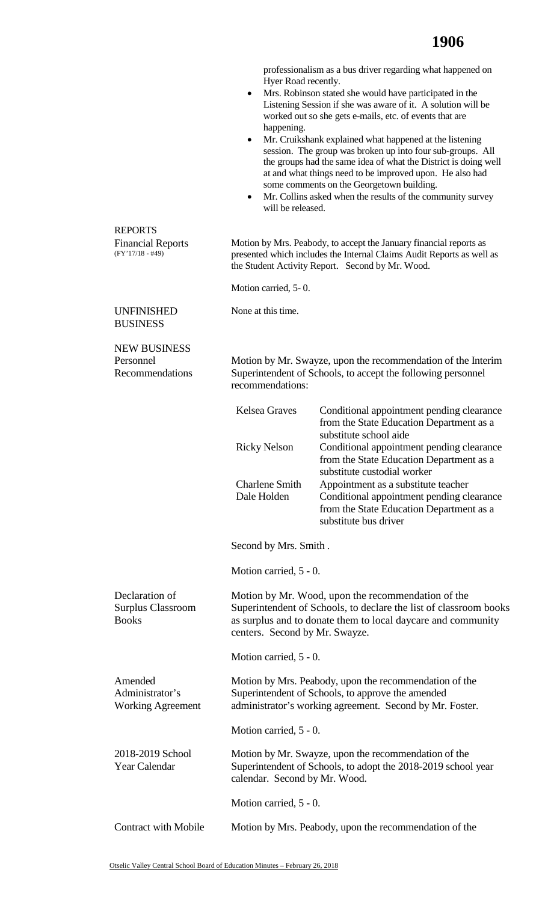professionalism as a bus driver regarding what happened on • Mrs. Robinson stated she would have participated in the Listening Session if she was aware of it. A solution will be session. The group was broken up into four sub-groups. All the groups had the same idea of what the District is doing well at and what things need to be improved upon. He also had (FY'17/18 - #49) Motion by Mrs. Peabody, to accept the January financial reports as Motion carried, 5- 0. Motion by Mr. Swayze, upon the recommendation of the Interim Superintendent of Schools, to accept the following personnel centers. Second by Mr. Swayze. Motion carried, 5 - 0. Motion carried, 5 - 0. Motion by Mr. Swayze, upon the recommendation of the Superintendent of Schools, to adopt the 2018-2019 school year Motion carried, 5 - 0. REPORTS Financial Reports UNFINISHED BUSINESS NEW BUSINESS Personnel Recommendations Declaration of Surplus Classroom **Books** Amended Administrator's Working Agreement 2018-2019 School Year Calendar Hyer Road recently. worked out so she gets e-mails, etc. of events that are happening. • Mr. Cruikshank explained what happened at the listening some comments on the Georgetown building. • Mr. Collins asked when the results of the community survey will be released. presented which includes the Internal Claims Audit Reports as well as the Student Activity Report. Second by Mr. Wood. None at this time. recommendations: Kelsea Graves Conditional appointment pending clearance from the State Education Department as a substitute school aide Ricky Nelson Conditional appointment pending clearance from the State Education Department as a substitute custodial worker Charlene Smith Appointment as a substitute teacher Dale Holden Conditional appointment pending clearance from the State Education Department as a substitute bus driver Second by Mrs. Smith . Motion carried, 5 - 0. Motion by Mr. Wood, upon the recommendation of the Superintendent of Schools, to declare the list of classroom books as surplus and to donate them to local daycare and community Motion by Mrs. Peabody, upon the recommendation of the Superintendent of Schools, to approve the amended administrator's working agreement. Second by Mr. Foster. calendar. Second by Mr. Wood. Contract with Mobile Motion by Mrs. Peabody, upon the recommendation of the